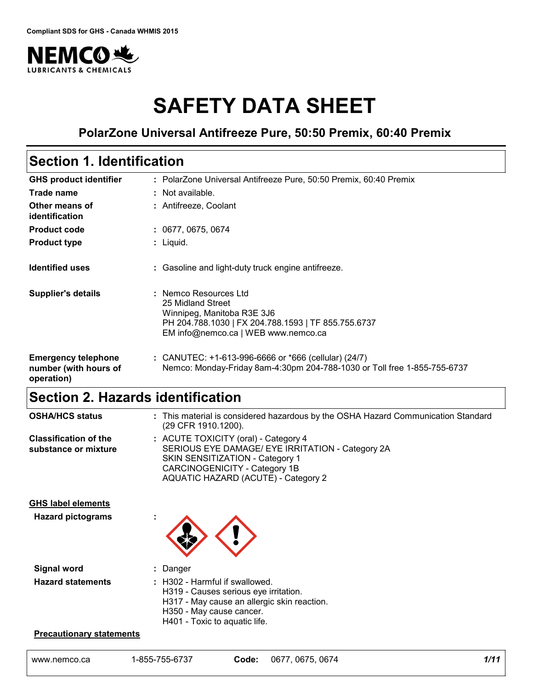

# **SAFETY DATA SHEET**

### **PolarZone Universal Antifreeze Pure, 50:50 Premix, 60:40 Premix**

# **Section 1. Identification**

| <b>GHS product identifier</b>                                     | : PolarZone Universal Antifreeze Pure, 50:50 Premix, 60:40 Premix                                                                                                      |
|-------------------------------------------------------------------|------------------------------------------------------------------------------------------------------------------------------------------------------------------------|
| Trade name                                                        | : Not available.                                                                                                                                                       |
| Other means of<br>identification                                  | : Antifreeze, Coolant                                                                                                                                                  |
| <b>Product code</b>                                               | : 0677, 0675, 0674                                                                                                                                                     |
| <b>Product type</b>                                               | $:$ Liquid.                                                                                                                                                            |
| <b>Identified uses</b>                                            | : Gasoline and light-duty truck engine antifreeze.                                                                                                                     |
| <b>Supplier's details</b>                                         | : Nemco Resources Ltd<br>25 Midland Street<br>Winnipeg, Manitoba R3E 3J6<br>PH 204.788.1030   FX 204.788.1593   TF 855.755.6737<br>EM info@nemco.ca   WEB www.nemco.ca |
| <b>Emergency telephone</b><br>number (with hours of<br>operation) | : CANUTEC: $+1-613-996-6666$ or $*666$ (cellular) (24/7)<br>Nemco: Monday-Friday 8am-4:30pm 204-788-1030 or Toll free 1-855-755-6737                                   |

# **Section 2. Hazards identification**

| <b>OSHA/HCS status</b>                               | : This material is considered hazardous by the OSHA Hazard Communication Standard<br>(29 CFR 1910.1200).                                                                                                   |
|------------------------------------------------------|------------------------------------------------------------------------------------------------------------------------------------------------------------------------------------------------------------|
| <b>Classification of the</b><br>substance or mixture | : ACUTE TOXICITY (oral) - Category 4<br>SERIOUS EYE DAMAGE/ EYE IRRITATION - Category 2A<br>SKIN SENSITIZATION - Category 1<br>CARCINOGENICITY - Category 1B<br><b>AQUATIC HAZARD (ACUTE) - Category 2</b> |
| <b>GHS label elements</b>                            |                                                                                                                                                                                                            |
| <b>Hazard pictograms</b>                             |                                                                                                                                                                                                            |
| <b>Signal word</b>                                   | : Danger                                                                                                                                                                                                   |
| <b>Hazard statements</b>                             | : H302 - Harmful if swallowed.<br>H319 - Causes serious eye irritation.<br>H317 - May cause an allergic skin reaction.<br>H350 - May cause cancer.<br>H401 - Toxic to aquatic life.                        |

### **Precautionary statements**

| 1-855-755-6737 | 067   | 0674  | 1/11 |
|----------------|-------|-------|------|
| www.nemco.ca   | Code: | 0675. |      |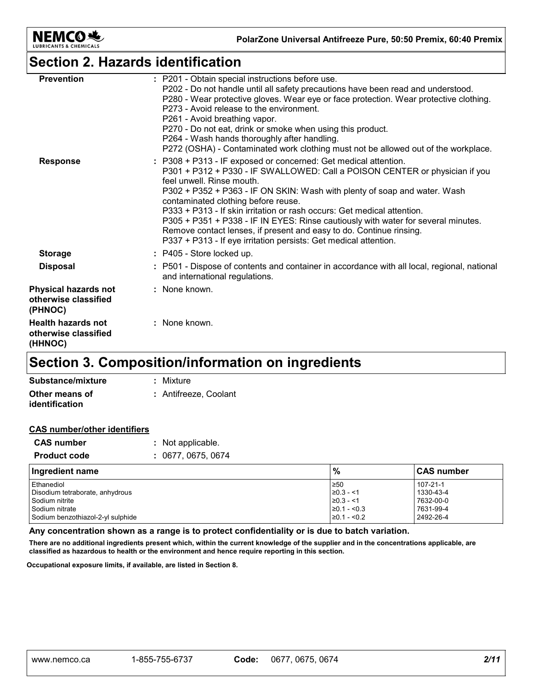

### **Section 2. Hazards identification**

| <b>Prevention</b>                                              | : P201 - Obtain special instructions before use.<br>P202 - Do not handle until all safety precautions have been read and understood.<br>P280 - Wear protective gloves. Wear eye or face protection. Wear protective clothing.<br>P273 - Avoid release to the environment.                                                                                                                                                                                                                                                                                                                                  |
|----------------------------------------------------------------|------------------------------------------------------------------------------------------------------------------------------------------------------------------------------------------------------------------------------------------------------------------------------------------------------------------------------------------------------------------------------------------------------------------------------------------------------------------------------------------------------------------------------------------------------------------------------------------------------------|
|                                                                | P261 - Avoid breathing vapor.<br>P270 - Do not eat, drink or smoke when using this product.<br>P264 - Wash hands thoroughly after handling.<br>P272 (OSHA) - Contaminated work clothing must not be allowed out of the workplace.                                                                                                                                                                                                                                                                                                                                                                          |
| <b>Response</b>                                                | : P308 + P313 - IF exposed or concerned: Get medical attention.<br>P301 + P312 + P330 - IF SWALLOWED: Call a POISON CENTER or physician if you<br>feel unwell. Rinse mouth.<br>P302 + P352 + P363 - IF ON SKIN: Wash with plenty of soap and water. Wash<br>contaminated clothing before reuse.<br>P333 + P313 - If skin irritation or rash occurs: Get medical attention.<br>P305 + P351 + P338 - IF IN EYES: Rinse cautiously with water for several minutes.<br>Remove contact lenses, if present and easy to do. Continue rinsing.<br>P337 + P313 - If eye irritation persists: Get medical attention. |
| <b>Storage</b>                                                 | : P405 - Store locked up.                                                                                                                                                                                                                                                                                                                                                                                                                                                                                                                                                                                  |
| <b>Disposal</b>                                                | : P501 - Dispose of contents and container in accordance with all local, regional, national<br>and international regulations.                                                                                                                                                                                                                                                                                                                                                                                                                                                                              |
| <b>Physical hazards not</b><br>otherwise classified<br>(PHNOC) | : None known.                                                                                                                                                                                                                                                                                                                                                                                                                                                                                                                                                                                              |
| <b>Health hazards not</b><br>otherwise classified<br>(HHNOC)   | : None known.                                                                                                                                                                                                                                                                                                                                                                                                                                                                                                                                                                                              |

# **Section 3. Composition/information on ingredients**

| Substance/mixture     | : Mixture             |
|-----------------------|-----------------------|
| Other means of        | : Antifreeze. Coolant |
| <b>identification</b> |                       |

#### **CAS number/other identifiers**

| <b>CAS</b> number   | : Not applicable.  |
|---------------------|--------------------|
| <b>Product code</b> | : 0677, 0675, 0674 |

| Ingredient name                   | $\%$              | <b>CAS number</b> |
|-----------------------------------|-------------------|-------------------|
| Ethanediol                        | 1≥50              | $107 - 21 - 1$    |
| Disodium tetraborate, anhydrous   | $\geq 0.3 - 1$    | 1330-43-4         |
| l Sodium nitrite                  | $≥0.3 - < 1$      | 7632-00-0         |
| Sodium nitrate                    | $\geq 0.1 - 0.3$  | 7631-99-4         |
| Sodium benzothiazol-2-yl sulphide | $\geq 0.1 - 50.2$ | 2492-26-4         |

**Any concentration shown as a range is to protect confidentiality or is due to batch variation.**

**There are no additional ingredients present which, within the current knowledge of the supplier and in the concentrations applicable, are classified as hazardous to health or the environment and hence require reporting in this section.**

**Occupational exposure limits, if available, are listed in Section 8.**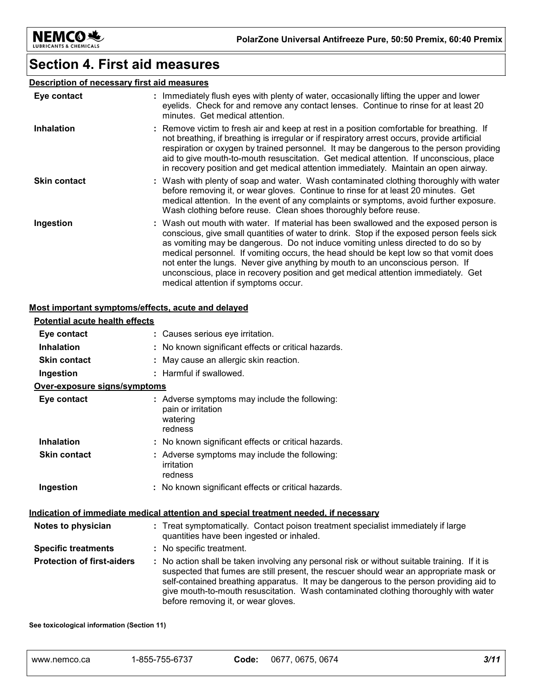

### **Section 4. First aid measures**

### **Description of necessary first aid measures**

| Eye contact         | : Immediately flush eyes with plenty of water, occasionally lifting the upper and lower<br>eyelids. Check for and remove any contact lenses. Continue to rinse for at least 20<br>minutes. Get medical attention.                                                                                                                                                                                                                                                                                                                                                               |
|---------------------|---------------------------------------------------------------------------------------------------------------------------------------------------------------------------------------------------------------------------------------------------------------------------------------------------------------------------------------------------------------------------------------------------------------------------------------------------------------------------------------------------------------------------------------------------------------------------------|
| <b>Inhalation</b>   | : Remove victim to fresh air and keep at rest in a position comfortable for breathing. If<br>not breathing, if breathing is irregular or if respiratory arrest occurs, provide artificial<br>respiration or oxygen by trained personnel. It may be dangerous to the person providing<br>aid to give mouth-to-mouth resuscitation. Get medical attention. If unconscious, place<br>in recovery position and get medical attention immediately. Maintain an open airway.                                                                                                          |
| <b>Skin contact</b> | : Wash with plenty of soap and water. Wash contaminated clothing thoroughly with water<br>before removing it, or wear gloves. Continue to rinse for at least 20 minutes. Get<br>medical attention. In the event of any complaints or symptoms, avoid further exposure.<br>Wash clothing before reuse. Clean shoes thoroughly before reuse.                                                                                                                                                                                                                                      |
| Ingestion           | : Wash out mouth with water. If material has been swallowed and the exposed person is<br>conscious, give small quantities of water to drink. Stop if the exposed person feels sick<br>as vomiting may be dangerous. Do not induce vomiting unless directed to do so by<br>medical personnel. If vomiting occurs, the head should be kept low so that vomit does<br>not enter the lungs. Never give anything by mouth to an unconscious person. If<br>unconscious, place in recovery position and get medical attention immediately. Get<br>medical attention if symptoms occur. |

#### **Most important symptoms/effects, acute and delayed**

| <b>Potential acute health effects</b> |                                                                                                                                                                                                                                                                                                                                                                                                                 |
|---------------------------------------|-----------------------------------------------------------------------------------------------------------------------------------------------------------------------------------------------------------------------------------------------------------------------------------------------------------------------------------------------------------------------------------------------------------------|
| Eye contact                           | : Causes serious eye irritation.                                                                                                                                                                                                                                                                                                                                                                                |
| <b>Inhalation</b>                     | : No known significant effects or critical hazards.                                                                                                                                                                                                                                                                                                                                                             |
| <b>Skin contact</b>                   | : May cause an allergic skin reaction.                                                                                                                                                                                                                                                                                                                                                                          |
| Ingestion                             | : Harmful if swallowed.                                                                                                                                                                                                                                                                                                                                                                                         |
| Over-exposure signs/symptoms          |                                                                                                                                                                                                                                                                                                                                                                                                                 |
| Eye contact                           | : Adverse symptoms may include the following:<br>pain or irritation<br>watering<br>redness                                                                                                                                                                                                                                                                                                                      |
| <b>Inhalation</b>                     | : No known significant effects or critical hazards.                                                                                                                                                                                                                                                                                                                                                             |
| <b>Skin contact</b>                   | : Adverse symptoms may include the following:<br>irritation<br>redness                                                                                                                                                                                                                                                                                                                                          |
| Ingestion                             | : No known significant effects or critical hazards.                                                                                                                                                                                                                                                                                                                                                             |
|                                       | <u>Indication of immediate medical attention and special treatment needed, if necessary</u>                                                                                                                                                                                                                                                                                                                     |
| Notes to physician                    | : Treat symptomatically. Contact poison treatment specialist immediately if large<br>quantities have been ingested or inhaled.                                                                                                                                                                                                                                                                                  |
| <b>Specific treatments</b>            | : No specific treatment.                                                                                                                                                                                                                                                                                                                                                                                        |
| <b>Protection of first-aiders</b>     | : No action shall be taken involving any personal risk or without suitable training. If it is<br>suspected that fumes are still present, the rescuer should wear an appropriate mask or<br>self-contained breathing apparatus. It may be dangerous to the person providing aid to<br>give mouth-to-mouth resuscitation. Wash contaminated clothing thoroughly with water<br>before removing it, or wear gloves. |

**See toxicological information (Section 11)**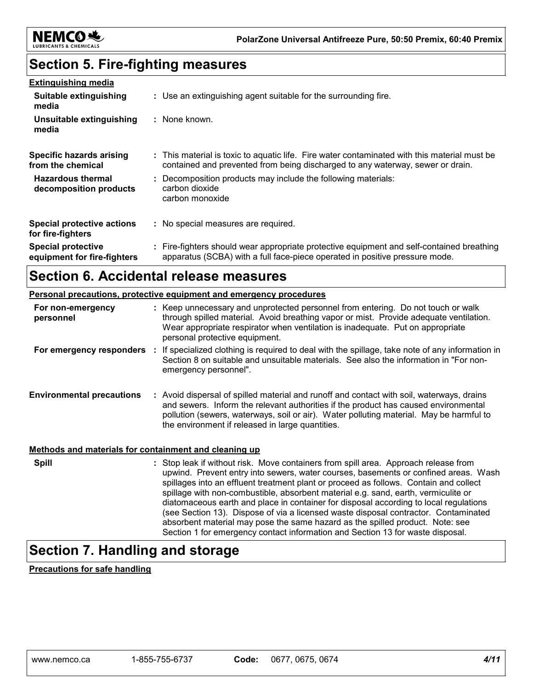

# **Section 5. Fire-fighting measures**

| <b>Extinguishing media</b>                               |                                                                                                                                                                                |
|----------------------------------------------------------|--------------------------------------------------------------------------------------------------------------------------------------------------------------------------------|
| Suitable extinguishing<br>media                          | : Use an extinguishing agent suitable for the surrounding fire.                                                                                                                |
| Unsuitable extinguishing<br>media                        | : None known.                                                                                                                                                                  |
| Specific hazards arising<br>from the chemical            | : This material is toxic to aguatic life. Fire water contaminated with this material must be<br>contained and prevented from being discharged to any waterway, sewer or drain. |
| <b>Hazardous thermal</b><br>decomposition products       | : Decomposition products may include the following materials:<br>carbon dioxide<br>carbon monoxide                                                                             |
| <b>Special protective actions</b><br>for fire-fighters   | : No special measures are required.                                                                                                                                            |
| <b>Special protective</b><br>equipment for fire-fighters | : Fire-fighters should wear appropriate protective equipment and self-contained breathing<br>apparatus (SCBA) with a full face-piece operated in positive pressure mode.       |

### **Section 6. Accidental release measures**

|                                                       | <b>Personal precautions, protective equipment and emergency procedures</b>                                                                                                                                                                                                                                                                                                                                                                                                                                                                |
|-------------------------------------------------------|-------------------------------------------------------------------------------------------------------------------------------------------------------------------------------------------------------------------------------------------------------------------------------------------------------------------------------------------------------------------------------------------------------------------------------------------------------------------------------------------------------------------------------------------|
| For non-emergency<br>personnel                        | : Keep unnecessary and unprotected personnel from entering. Do not touch or walk<br>through spilled material. Avoid breathing vapor or mist. Provide adequate ventilation.<br>Wear appropriate respirator when ventilation is inadequate. Put on appropriate<br>personal protective equipment.                                                                                                                                                                                                                                            |
| For emergency responders :                            | If specialized clothing is required to deal with the spillage, take note of any information in<br>Section 8 on suitable and unsuitable materials. See also the information in "For non-<br>emergency personnel".                                                                                                                                                                                                                                                                                                                          |
| <b>Environmental precautions</b>                      | : Avoid dispersal of spilled material and runoff and contact with soil, waterways, drains<br>and sewers. Inform the relevant authorities if the product has caused environmental<br>pollution (sewers, waterways, soil or air). Water polluting material. May be harmful to<br>the environment if released in large quantities.                                                                                                                                                                                                           |
| Methods and materials for containment and cleaning up |                                                                                                                                                                                                                                                                                                                                                                                                                                                                                                                                           |
| <b>Spill</b>                                          | : Stop leak if without risk. Move containers from spill area. Approach release from<br>upwind. Prevent entry into sewers, water courses, basements or confined areas. Wash<br>spillages into an effluent treatment plant or proceed as follows. Contain and collect<br>spillage with non-combustible, absorbent material e.g. sand, earth, vermiculite or<br>diatomaceous earth and place in container for disposal according to local regulations<br>(see Section 13). Dispose of via a licensed waste disposal contractor. Contaminated |

absorbent material may pose the same hazard as the spilled product. Note: see Section 1 for emergency contact information and Section 13 for waste disposal.

### **Section 7. Handling and storage**

**Precautions for safe handling**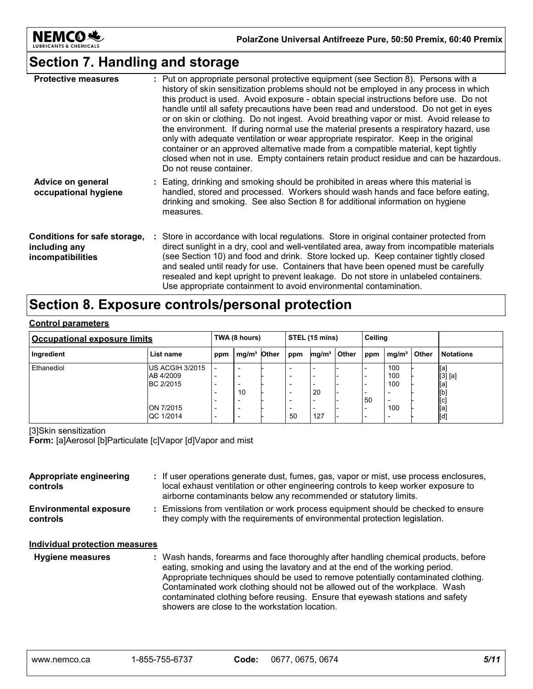

## **Section 7. Handling and storage**

| <b>Protective measures</b>                                         | : Put on appropriate personal protective equipment (see Section 8). Persons with a<br>history of skin sensitization problems should not be employed in any process in which<br>this product is used. Avoid exposure - obtain special instructions before use. Do not<br>handle until all safety precautions have been read and understood. Do not get in eyes<br>or on skin or clothing. Do not ingest. Avoid breathing vapor or mist. Avoid release to<br>the environment. If during normal use the material presents a respiratory hazard, use<br>only with adequate ventilation or wear appropriate respirator. Keep in the original<br>container or an approved alternative made from a compatible material, kept tightly<br>closed when not in use. Empty containers retain product residue and can be hazardous.<br>Do not reuse container. |
|--------------------------------------------------------------------|---------------------------------------------------------------------------------------------------------------------------------------------------------------------------------------------------------------------------------------------------------------------------------------------------------------------------------------------------------------------------------------------------------------------------------------------------------------------------------------------------------------------------------------------------------------------------------------------------------------------------------------------------------------------------------------------------------------------------------------------------------------------------------------------------------------------------------------------------|
| Advice on general<br>occupational hygiene                          | : Eating, drinking and smoking should be prohibited in areas where this material is<br>handled, stored and processed. Workers should wash hands and face before eating,<br>drinking and smoking. See also Section 8 for additional information on hygiene<br>measures.                                                                                                                                                                                                                                                                                                                                                                                                                                                                                                                                                                            |
| Conditions for safe storage,<br>including any<br>incompatibilities | : Store in accordance with local regulations. Store in original container protected from<br>direct sunlight in a dry, cool and well-ventilated area, away from incompatible materials<br>(see Section 10) and food and drink. Store locked up. Keep container tightly closed<br>and sealed until ready for use. Containers that have been opened must be carefully<br>resealed and kept upright to prevent leakage. Do not store in unlabeled containers.<br>Use appropriate containment to avoid environmental contamination.                                                                                                                                                                                                                                                                                                                    |

# **Section 8. Exposure controls/personal protection**

#### **Control parameters**

| <b>Occupational exposure limits</b> |                                            | STEL (15 mins)<br>TWA (8 hours)                           |                                    | Ceiling                             |                   |              |     |                   |       |                              |
|-------------------------------------|--------------------------------------------|-----------------------------------------------------------|------------------------------------|-------------------------------------|-------------------|--------------|-----|-------------------|-------|------------------------------|
| Ingredient                          | List name                                  | ppm                                                       | mg/m <sup>3</sup> Other            | ppm                                 | mg/m <sup>3</sup> | <b>Other</b> | ppm | mg/m <sup>3</sup> | Other | <b>Notations</b>             |
| Ethanediol                          | IUS ACGIH 3/2015<br>AB 4/2009<br>BC 2/2015 | $\overline{\phantom{0}}$<br>$\overline{\phantom{a}}$      | -<br>-<br>10                       | -<br>-<br>-<br>-                    | 20                |              |     | 100<br>100<br>100 |       | [a]<br>[3] [a]<br>[a]<br>[b] |
|                                     | ION 7/2015<br><b>QC 1/2014</b>             | ۰<br>$\overline{\phantom{a}}$<br>$\overline{\phantom{a}}$ | -<br>-<br>$\overline{\phantom{a}}$ | -<br>$\overline{\phantom{0}}$<br>50 | 127               |              | 50  | -<br>100<br>-     |       | [c]<br>[a]<br>[d]            |

#### [3]Skin sensitization

**Form:** [a]Aerosol [b]Particulate [c]Vapor [d]Vapor and mist

| Appropriate engineering<br>controls       | : If user operations generate dust, fumes, gas, vapor or mist, use process enclosures,<br>local exhaust ventilation or other engineering controls to keep worker exposure to<br>airborne contaminants below any recommended or statutory limits.                                                                                                                                                                                                                            |
|-------------------------------------------|-----------------------------------------------------------------------------------------------------------------------------------------------------------------------------------------------------------------------------------------------------------------------------------------------------------------------------------------------------------------------------------------------------------------------------------------------------------------------------|
| <b>Environmental exposure</b><br>controls | : Emissions from ventilation or work process equipment should be checked to ensure<br>they comply with the requirements of environmental protection legislation.                                                                                                                                                                                                                                                                                                            |
| Individual protection measures            |                                                                                                                                                                                                                                                                                                                                                                                                                                                                             |
| <b>Hygiene measures</b>                   | : Wash hands, forearms and face thoroughly after handling chemical products, before<br>eating, smoking and using the lavatory and at the end of the working period.<br>Appropriate techniques should be used to remove potentially contaminated clothing.<br>Contaminated work clothing should not be allowed out of the workplace. Wash<br>contaminated clothing before reusing. Ensure that eyewash stations and safety<br>showers are close to the workstation location. |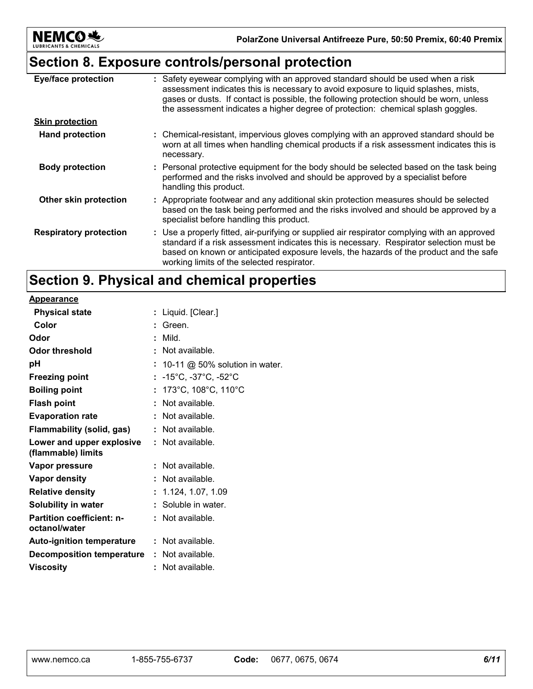

## **Section 8. Exposure controls/personal protection**

| <b>Eye/face protection</b>    | : Safety eyewear complying with an approved standard should be used when a risk<br>assessment indicates this is necessary to avoid exposure to liquid splashes, mists,<br>gases or dusts. If contact is possible, the following protection should be worn, unless<br>the assessment indicates a higher degree of protection: chemical splash goggles. |
|-------------------------------|-------------------------------------------------------------------------------------------------------------------------------------------------------------------------------------------------------------------------------------------------------------------------------------------------------------------------------------------------------|
| <b>Skin protection</b>        |                                                                                                                                                                                                                                                                                                                                                       |
| <b>Hand protection</b>        | : Chemical-resistant, impervious gloves complying with an approved standard should be<br>worn at all times when handling chemical products if a risk assessment indicates this is<br>necessary.                                                                                                                                                       |
| <b>Body protection</b>        | : Personal protective equipment for the body should be selected based on the task being<br>performed and the risks involved and should be approved by a specialist before<br>handling this product.                                                                                                                                                   |
| Other skin protection         | : Appropriate footwear and any additional skin protection measures should be selected<br>based on the task being performed and the risks involved and should be approved by a<br>specialist before handling this product.                                                                                                                             |
| <b>Respiratory protection</b> | : Use a properly fitted, air-purifying or supplied air respirator complying with an approved<br>standard if a risk assessment indicates this is necessary. Respirator selection must be<br>based on known or anticipated exposure levels, the hazards of the product and the safe<br>working limits of the selected respirator.                       |

## **Section 9. Physical and chemical properties**

| <b>Appearance</b>                                 |                                                     |
|---------------------------------------------------|-----------------------------------------------------|
| <b>Physical state</b>                             | : Liquid. [Clear.]                                  |
| Color                                             | Green.                                              |
| Odor                                              | Mild.<br>÷                                          |
| <b>Odor threshold</b>                             | Not available.                                      |
| рH                                                | 10-11 $@$ 50% solution in water.                    |
| <b>Freezing point</b>                             | : $-15^{\circ}$ C, $-37^{\circ}$ C, $-52^{\circ}$ C |
| <b>Boiling point</b>                              | 173°C, 108°C, 110°C                                 |
| <b>Flash point</b>                                | Not available.                                      |
| <b>Evaporation rate</b>                           | Not available.                                      |
| <b>Flammability (solid, gas)</b>                  | Not available.                                      |
| Lower and upper explosive<br>(flammable) limits   | $:$ Not available.                                  |
| Vapor pressure                                    | Not available.                                      |
| <b>Vapor density</b>                              | Not available.                                      |
| <b>Relative density</b>                           | 1.124, 1.07, 1.09                                   |
| Solubility in water                               | Soluble in water.                                   |
| <b>Partition coefficient: n-</b><br>octanol/water | $:$ Not available.                                  |
| <b>Auto-ignition temperature</b>                  | $:$ Not available.                                  |
| <b>Decomposition temperature</b>                  | $:$ Not available.                                  |
| <b>Viscosity</b>                                  | Not available.                                      |
|                                                   |                                                     |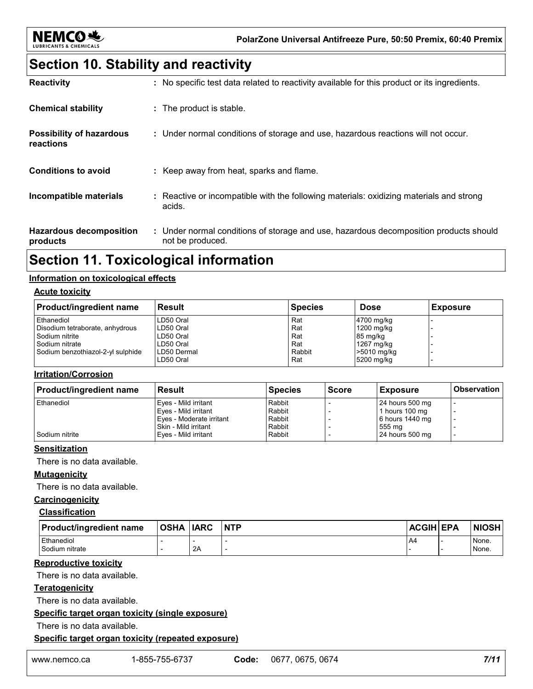

### **Section 10. Stability and reactivity**

| <b>Reactivity</b>                            | : No specific test data related to reactivity available for this product or its ingredients.              |
|----------------------------------------------|-----------------------------------------------------------------------------------------------------------|
| <b>Chemical stability</b>                    | : The product is stable.                                                                                  |
| <b>Possibility of hazardous</b><br>reactions | : Under normal conditions of storage and use, hazardous reactions will not occur.                         |
| <b>Conditions to avoid</b>                   | : Keep away from heat, sparks and flame.                                                                  |
| Incompatible materials                       | Reactive or incompatible with the following materials: oxidizing materials and strong<br>acids.           |
| <b>Hazardous decomposition</b><br>products   | : Under normal conditions of storage and use, hazardous decomposition products should<br>not be produced. |

### **Section 11. Toxicological information**

#### **Information on toxicological effects**

#### **Acute toxicity**

| <b>Product/ingredient name</b>    | <b>Result</b> | <b>Species</b> | <b>Dose</b> | <b>Exposure</b> |
|-----------------------------------|---------------|----------------|-------------|-----------------|
| Ethanediol                        | LD50 Oral     | Rat            | 4700 mg/kg  |                 |
| Disodium tetraborate, anhydrous   | LD50 Oral     | Rat            | 1200 mg/kg  |                 |
| I Sodium nitrite                  | LD50 Oral     | Rat            | 85 mg/kg    |                 |
| I Sodium nitrate                  | LD50 Oral     | Rat            | 1267 mg/kg  |                 |
| Sodium benzothiazol-2-yl sulphide | LD50 Dermal   | Rabbit         | >5010 mg/kg |                 |
|                                   | LD50 Oral     | Rat            | 5200 mg/kg  |                 |

### **Irritation/Corrosion**

| <b>Product/ingredient name</b> | <b>Result</b>            | <b>Species</b> | <b>Score</b> | <b>Exposure</b> | <b>Observation</b> |
|--------------------------------|--------------------------|----------------|--------------|-----------------|--------------------|
| Ethanediol                     | Eyes - Mild irritant     | Rabbit         |              | 24 hours 500 mg |                    |
|                                | Eyes - Mild irritant     | Rabbit         |              | 1 hours 100 mg  |                    |
|                                | Eyes - Moderate irritant | Rabbit         |              | 6 hours 1440 mg |                    |
|                                | l Skin - Mild irritant   | Rabbit         |              | 555 mg          |                    |
| Sodium nitrite                 | Eves - Mild irritant     | Rabbit         |              | 24 hours 500 mg |                    |

#### **Sensitization**

There is no data available.

#### **Mutagenicity**

There is no data available.

### **Carcinogenicity**

#### **Classification**

| <b>Product/ingredient name</b> | <b>OSHA</b> | <b>IARC</b> | <b>INTP</b> | ACGIH EPA | NIOSH |
|--------------------------------|-------------|-------------|-------------|-----------|-------|
| Ethanediol                     |             |             |             | -A4       | None. |
| Sodium nitrate                 |             | 2A          |             |           | None. |

#### **Reproductive toxicity**

There is no data available.

#### **Teratogenicity**

There is no data available.

#### **Specific target organ toxicity (single exposure)**

There is no data available.

#### **Specific target organ toxicity (repeated exposure)**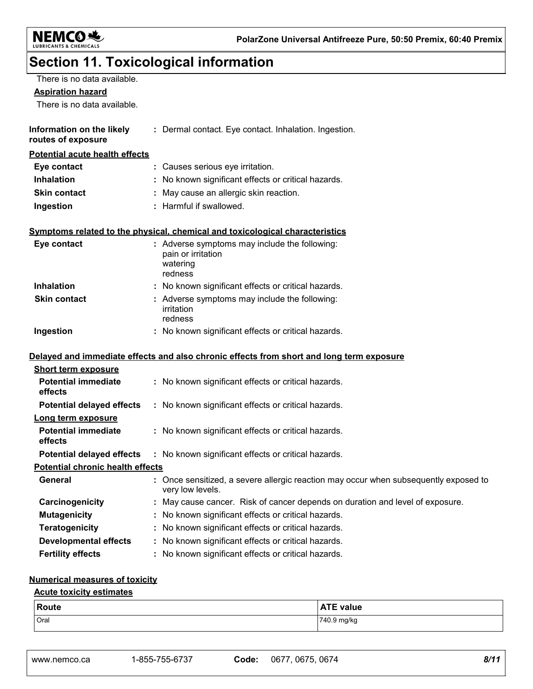

# **Section 11. Toxicological information**

| There is no data available.                                 |                                                                                                        |
|-------------------------------------------------------------|--------------------------------------------------------------------------------------------------------|
| <b>Aspiration hazard</b>                                    |                                                                                                        |
| There is no data available.                                 |                                                                                                        |
| Information on the likely<br>routes of exposure             | : Dermal contact. Eye contact. Inhalation. Ingestion.                                                  |
| Potential acute health effects                              |                                                                                                        |
| Eye contact                                                 | : Causes serious eye irritation.                                                                       |
| <b>Inhalation</b>                                           | : No known significant effects or critical hazards.                                                    |
| <b>Skin contact</b>                                         | May cause an allergic skin reaction.                                                                   |
| Ingestion                                                   | : Harmful if swallowed.                                                                                |
|                                                             | Symptoms related to the physical, chemical and toxicological characteristics                           |
| Eye contact                                                 | : Adverse symptoms may include the following:<br>pain or irritation<br>watering<br>redness             |
| <b>Inhalation</b>                                           | : No known significant effects or critical hazards.                                                    |
| <b>Skin contact</b>                                         | : Adverse symptoms may include the following:<br>irritation<br>redness                                 |
| Ingestion                                                   | : No known significant effects or critical hazards.                                                    |
|                                                             | Delayed and immediate effects and also chronic effects from short and long term exposure               |
| <b>Short term exposure</b>                                  |                                                                                                        |
| <b>Potential immediate</b><br>effects                       | : No known significant effects or critical hazards.                                                    |
| <b>Potential delayed effects</b>                            | : No known significant effects or critical hazards.                                                    |
| Long term exposure<br><b>Potential immediate</b><br>effects | : No known significant effects or critical hazards.                                                    |
| <b>Potential delayed effects</b>                            | : No known significant effects or critical hazards.                                                    |
| <b>Potential chronic health effects</b>                     |                                                                                                        |
| General                                                     | Once sensitized, a severe allergic reaction may occur when subsequently exposed to<br>very low levels. |
| Carcinogenicity                                             | : May cause cancer. Risk of cancer depends on duration and level of exposure.                          |
| <b>Mutagenicity</b>                                         | No known significant effects or critical hazards.                                                      |
| <b>Teratogenicity</b>                                       | No known significant effects or critical hazards.                                                      |
| <b>Developmental effects</b>                                | : No known significant effects or critical hazards.                                                    |
| <b>Fertility effects</b>                                    | : No known significant effects or critical hazards.                                                    |
|                                                             |                                                                                                        |

### **Numerical measures of toxicity**

### **Acute toxicity estimates**

| Route | $\bullet$ $\bullet$ $\bullet$<br>value<br>A<br>1 E .<br>$\mathbf{r}$ |
|-------|----------------------------------------------------------------------|
| Oral  | 740.9 mg/kg                                                          |

www.nemco.ca 1-855-755-6737 **Code:** 0677, 0675, 0674 *8/11*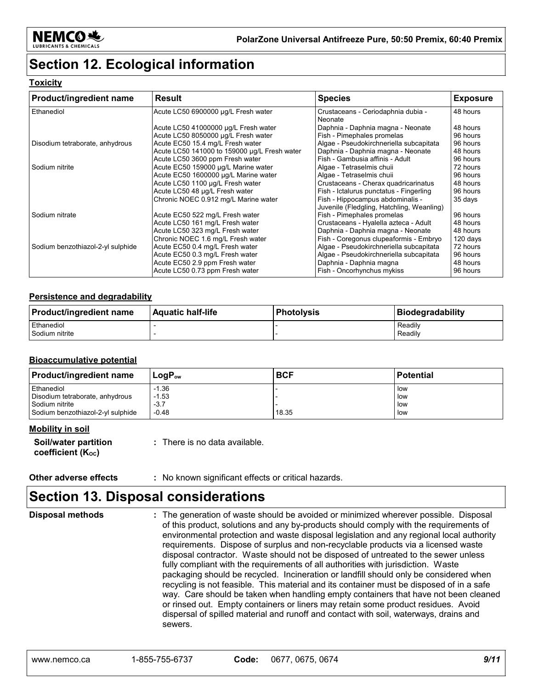

### **Section 12. Ecological information**

#### **Toxicity**

| Product/ingredient name           | <b>Result</b>                                | <b>Species</b>                                | <b>Exposure</b> |
|-----------------------------------|----------------------------------------------|-----------------------------------------------|-----------------|
| Ethanediol                        | Acute LC50 6900000 µg/L Fresh water          | Crustaceans - Ceriodaphnia dubia -<br>Neonate | 48 hours        |
|                                   | Acute LC50 41000000 µg/L Fresh water         | Daphnia - Daphnia magna - Neonate             | 48 hours        |
|                                   | Acute LC50 8050000 µg/L Fresh water          | Fish - Pimephales promelas                    | 96 hours        |
| Disodium tetraborate, anhydrous   | Acute EC50 15.4 mg/L Fresh water             | Algae - Pseudokirchneriella subcapitata       | 96 hours        |
|                                   | Acute LC50 141000 to 159000 µg/L Fresh water | Daphnia - Daphnia magna - Neonate             | 48 hours        |
|                                   | Acute LC50 3600 ppm Fresh water              | Fish - Gambusia affinis - Adult               | 96 hours        |
| Sodium nitrite                    | Acute EC50 159000 µg/L Marine water          | Algae - Tetraselmis chuii                     | 72 hours        |
|                                   | Acute EC50 1600000 µg/L Marine water         | Algae - Tetraselmis chuii                     | 96 hours        |
|                                   | Acute LC50 1100 µg/L Fresh water             | Crustaceans - Cherax quadricarinatus          | 48 hours        |
|                                   | Acute LC50 48 µg/L Fresh water               | Fish - Ictalurus punctatus - Fingerling       | 96 hours        |
|                                   | Chronic NOEC 0.912 mg/L Marine water         | Fish - Hippocampus abdominalis -              | 35 days         |
|                                   |                                              | Juvenile (Fledgling, Hatchling, Weanling)     |                 |
| Sodium nitrate                    | Acute EC50 522 mg/L Fresh water              | Fish - Pimephales promelas                    | 96 hours        |
|                                   | Acute LC50 161 mg/L Fresh water              | Crustaceans - Hyalella azteca - Adult         | 48 hours        |
|                                   | Acute LC50 323 mg/L Fresh water              | Daphnia - Daphnia magna - Neonate             | 48 hours        |
|                                   | Chronic NOEC 1.6 mg/L Fresh water            | Fish - Coregonus clupeaformis - Embryo        | 120 days        |
| Sodium benzothiazol-2-yl sulphide | Acute EC50 0.4 mg/L Fresh water              | Algae - Pseudokirchneriella subcapitata       | 72 hours        |
|                                   | Acute EC50 0.3 mg/L Fresh water              | Algae - Pseudokirchneriella subcapitata       | 96 hours        |
|                                   | Acute EC50 2.9 ppm Fresh water               | Daphnia - Daphnia magna                       | 48 hours        |
|                                   | Acute LC50 0.73 ppm Fresh water              | Fish - Oncorhynchus mykiss                    | 96 hours        |

#### **Persistence and degradability**

| <b>Product/ingredient name</b> | <b>Aquatic half-life</b> | ∣Photolvsis | Biodegradability |
|--------------------------------|--------------------------|-------------|------------------|
| Ethanediol                     |                          |             | Readily          |
| Sodium nitrite                 |                          |             | Readily          |

#### **Bioaccumulative potential**

| <b>Product/ingredient name</b>    | $\mathsf{Loa}\mathsf{P}_{\mathsf{ow}}$ | <b>BCF</b> | <b>Potential</b> |
|-----------------------------------|----------------------------------------|------------|------------------|
| Ethanediol                        | $-1.36$                                |            | low              |
| Disodium tetraborate, anhydrous   | $-1.53$                                |            | low              |
| Sodium nitrite                    | $-3.7$                                 |            | low              |
| Sodium benzothiazol-2-yl sulphide | $-0.48$                                | 18.35      | low              |

#### **Mobility in soil**

| Soil/water partition |  |
|----------------------|--|
| coefficient (Koc)    |  |

**:** There is no data available.

**Other adverse effects** : No known significant effects or critical hazards.

### **Section 13. Disposal considerations**

The generation of waste should be avoided or minimized wherever possible. Disposal of this product, solutions and any by-products should comply with the requirements of environmental protection and waste disposal legislation and any regional local authority requirements. Dispose of surplus and non-recyclable products via a licensed waste disposal contractor. Waste should not be disposed of untreated to the sewer unless fully compliant with the requirements of all authorities with jurisdiction. Waste packaging should be recycled. Incineration or landfill should only be considered when recycling is not feasible. This material and its container must be disposed of in a safe way. Care should be taken when handling empty containers that have not been cleaned or rinsed out. Empty containers or liners may retain some product residues. Avoid dispersal of spilled material and runoff and contact with soil, waterways, drains and sewers. **Disposal methods :**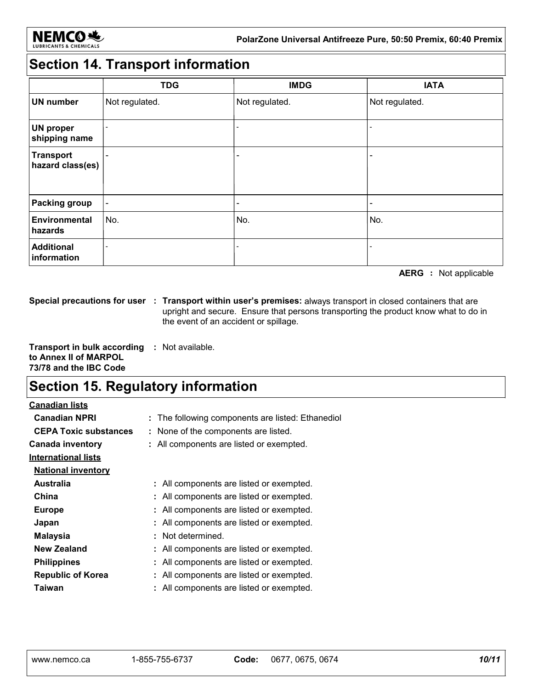

# **Section 14. Transport information**

|                                      | <b>TDG</b>               | <b>IMDG</b>              | <b>IATA</b>              |
|--------------------------------------|--------------------------|--------------------------|--------------------------|
| <b>UN number</b>                     | Not regulated.           | Not regulated.           | Not regulated.           |
| <b>UN proper</b><br>shipping name    | $\overline{\phantom{0}}$ |                          |                          |
| <b>Transport</b><br>hazard class(es) | $\overline{\phantom{a}}$ | $\overline{\phantom{0}}$ | -                        |
| <b>Packing group</b>                 | $\overline{\phantom{a}}$ |                          | $\overline{\phantom{a}}$ |
| <b>Environmental</b><br>hazards      | No.                      | No.                      | No.                      |
| <b>Additional</b><br>information     |                          |                          |                          |

**AERG :** Not applicable

**Special precautions for user Transport within user's premises:** always transport in closed containers that are **:** upright and secure. Ensure that persons transporting the product know what to do in the event of an accident or spillage.

**Transport in bulk according :** Not available. **to Annex II of MARPOL 73/78 and the IBC Code**

### **Section 15. Regulatory information**

**Canadian lists**

| <b>Canadian NPRI</b>         | : The following components are listed: Ethanediol |
|------------------------------|---------------------------------------------------|
| <b>CEPA Toxic substances</b> | : None of the components are listed.              |
| <b>Canada inventory</b>      | : All components are listed or exempted.          |
| <b>International lists</b>   |                                                   |
| <b>National inventory</b>    |                                                   |
| Australia                    | : All components are listed or exempted.          |
| China                        | : All components are listed or exempted.          |
| <b>Europe</b>                | : All components are listed or exempted.          |
| Japan                        | : All components are listed or exempted.          |
| <b>Malaysia</b>              | : Not determined.                                 |
| New Zealand                  | : All components are listed or exempted.          |
| <b>Philippines</b>           | : All components are listed or exempted.          |
| <b>Republic of Korea</b>     | All components are listed or exempted.            |
| Taiwan                       | : All components are listed or exempted.          |
|                              |                                                   |